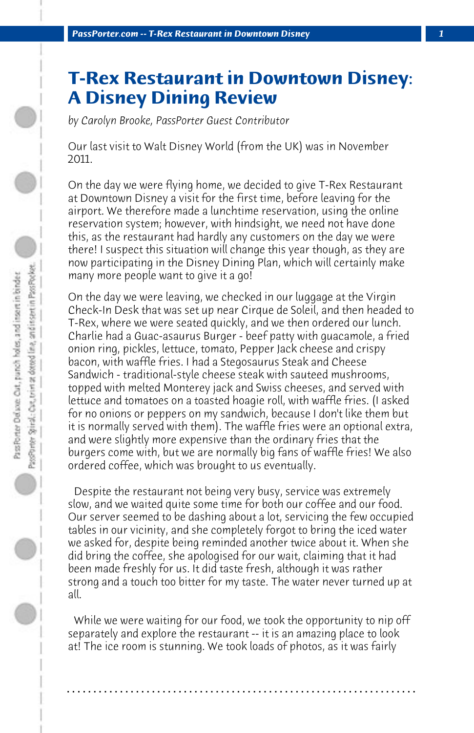## **T-Rex Restaurant in Downtown Disney: A Disney Dining Review**

*by Carolyn Brooke, PassPorter Guest Contributor*

Our last visit to Walt Disney World (from the UK) was in November 2011.

On the day we were flying home, we decided to give T-Rex Restaurant at Downtown Disney a visit for the first time, before leaving for the airport. We therefore made a lunchtime reservation, using the online reservation system; however, with hindsight, we need not have done this, as the restaurant had hardly any customers on the day we were there! I suspect this situation will change this year though, as they are now participating in the Disney Dining Plan, which will certainly make many more people want to give it a go!

On the day we were leaving, we checked in our luggage at the Virgin Check-In Desk that was set up near Cirque de Soleil, and then headed to T-Rex, where we were seated quickly, and we then ordered our lunch. Charlie had a Guac-asaurus Burger - beef patty with guacamole, a fried onion ring, pickles, lettuce, tomato, Pepper Jack cheese and crispy bacon, with waffle fries. I had a Stegosaurus Steak and Cheese Sandwich - traditional-style cheese steak with sauteed mushrooms, topped with melted Monterey jack and Swiss cheeses, and served with lettuce and tomatoes on a toasted hoagie roll, with waffle fries. (I asked for no onions or peppers on my sandwich, because I don't like them but it is normally served with them). The waffle fries were an optional extra, and were slightly more expensive than the ordinary fries that the burgers come with, but we are normally big fans of waffle fries! We also ordered coffee, which was brought to us eventually.

 Despite the restaurant not being very busy, service was extremely slow, and we waited quite some time for both our coffee and our food. Our server seemed to be dashing about a lot, servicing the few occupied tables in our vicinity, and she completely forgot to bring the iced water we asked for, despite being reminded another twice about it. When she did bring the coffee, she apologised for our wait, claiming that it had been made freshly for us. It did taste fresh, although it was rather strong and a touch too bitter for my taste. The water never turned up at all.

 While we were waiting for our food, we took the opportunity to nip off separately and explore the restaurant -- it is an amazing place to look at! The ice room is stunning. We took loads of photos, as it was fairly

**. . . . . . . . . . . . . . . . . . . . . . . . . . . . . . . . . . . . . . . . . . . . . . . . . . . . . . . . . . . . . . . . . .**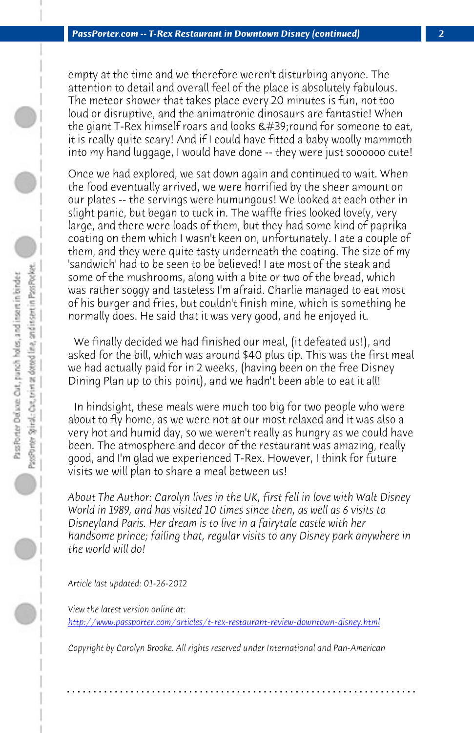*PassPorter.com -- T-Rex Restaurant in Downtown Disney (continued) 2*

empty at the time and we therefore weren't disturbing anyone. The attention to detail and overall feel of the place is absolutely fabulous. The meteor shower that takes place every 20 minutes is fun, not too loud or disruptive, and the animatronic dinosaurs are fantastic! When the giant T-Rex himself roars and looks ' round for someone to eat, it is really quite scary! And if I could have fitted a baby woolly mammoth into my hand luggage, I would have done -- they were just soooooo cute!

Once we had explored, we sat down again and continued to wait. When the food eventually arrived, we were horrified by the sheer amount on our plates -- the servings were humungous! We looked at each other in slight panic, but began to tuck in. The waffle fries looked lovely, very large, and there were loads of them, but they had some kind of paprika coating on them which I wasn't keen on, unfortunately. I ate a couple of them, and they were quite tasty underneath the coating. The size of my 'sandwich' had to be seen to be believed! I ate most of the steak and some of the mushrooms, along with a bite or two of the bread, which was rather soggy and tasteless I'm afraid. Charlie managed to eat most of his burger and fries, but couldn't finish mine, which is something he normally does. He said that it was very good, and he enjoyed it.

 We finally decided we had finished our meal, (it defeated us!), and asked for the bill, which was around \$40 plus tip. This was the first meal we had actually paid for in 2 weeks, (having been on the free Disney Dining Plan up to this point), and we hadn't been able to eat it all!

 [In hindsight, these meals were much too big for two people who](http://www.passporter.com/articles/t-rex-restaurant-review-downtown-disney.php) were about to fly home, as we were not at our most relaxed and it was also a very hot and humid day, so we weren't really as hungry as we could have been. The atmosphere and decor of the restaurant was amazing, really good, and I'm glad we experienced T-Rex. However, I think for future visits we will plan to share a meal between us!

*About The Author: Carolyn lives in the UK, first fell in love with Walt Disney World in 1989, and has visited 10 times since then, as well as 6 visits to Disneyland Paris. Her dream is to live in a fairytale castle with her handsome prince; failing that, regular visits to any Disney park anywhere in the world will do!*

*Article last updated: 01-26-2012*

*View the latest version online at: http://www.passporter.com/articles/t-rex-restaurant-review-downtown-disney.html*

*Copyright by Carolyn Brooke. All rights reserved under International and Pan-American*

**. . . . . . . . . . . . . . . . . . . . . . . . . . . . . . . . . . . . . . . . . . . . . . . . . . . . . . . . . . . . . . . . . .**